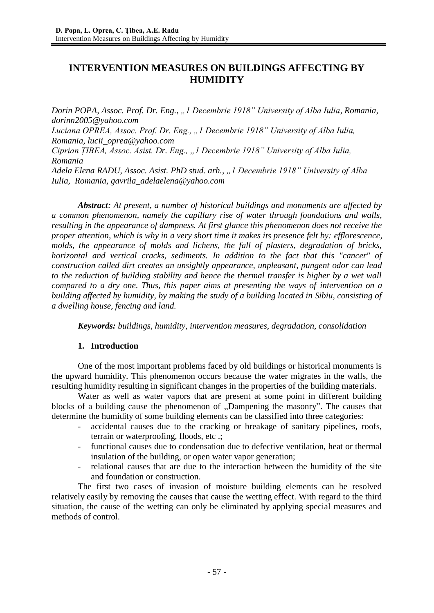# **INTERVENTION MEASURES ON BUILDINGS AFFECTING BY HUMIDITY**

*Dorin POPA, Assoc. Prof. Dr. Eng., "1 Decembrie 1918" University of Alba Iulia, Romania, dorinn2005@yahoo.com Luciana OPREA, Assoc. Prof. Dr. Eng., "1 Decembrie 1918" University of Alba Iulia, Romania, lucii\_oprea@yahoo.com Ciprian ȚIBEA, Assoc. Asist. Dr. Eng., "1 Decembrie 1918" University of Alba Iulia, Romania Adela Elena RADU, Assoc. Asist. PhD stud. arh., "1 Decembrie 1918" University of Alba Iulia, Romania, gavrila\_adelaelena@yahoo.com*

*Abstract: At present, a number of historical buildings and monuments are affected by a common phenomenon, namely the capillary rise of water through foundations and walls, resulting in the appearance of dampness. At first glance this phenomenon does not receive the proper attention, which is why in a very short time it makes its presence felt by: efflorescence, molds, the appearance of molds and lichens, the fall of plasters, degradation of bricks, horizontal and vertical cracks, sediments. In addition to the fact that this "cancer" of construction called dirt creates an unsightly appearance, unpleasant, pungent odor can lead to the reduction of building stability and hence the thermal transfer is higher by a wet wall compared to a dry one. Thus, this paper aims at presenting the ways of intervention on a building affected by humidity, by making the study of a building located in Sibiu, consisting of a dwelling house, fencing and land.*

*Keywords: buildings, humidity, intervention measures, degradation, consolidation*

#### **1. Introduction**

One of the most important problems faced by old buildings or historical monuments is the upward humidity. This phenomenon occurs because the water migrates in the walls, the resulting humidity resulting in significant changes in the properties of the building materials.

Water as well as water vapors that are present at some point in different building blocks of a building cause the phenomenon of "Dampening the masonry". The causes that determine the humidity of some building elements can be classified into three categories:

- accidental causes due to the cracking or breakage of sanitary pipelines, roofs, terrain or waterproofing, floods, etc .;
- functional causes due to condensation due to defective ventilation, heat or thermal insulation of the building, or open water vapor generation;
- relational causes that are due to the interaction between the humidity of the site and foundation or construction.

The first two cases of invasion of moisture building elements can be resolved relatively easily by removing the causes that cause the wetting effect. With regard to the third situation, the cause of the wetting can only be eliminated by applying special measures and methods of control.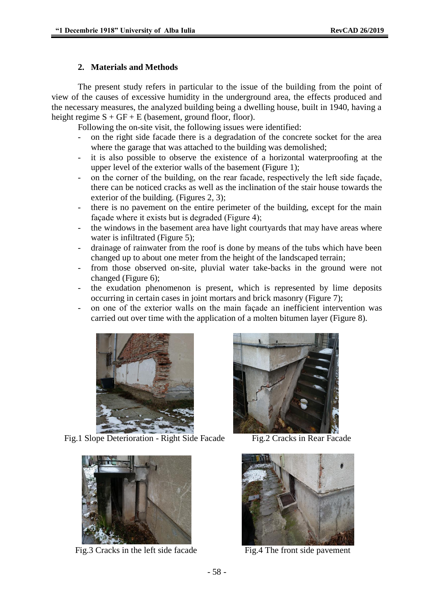#### **2. Materials and Methods**

The present study refers in particular to the issue of the building from the point of view of the causes of excessive humidity in the underground area, the effects produced and the necessary measures, the analyzed building being a dwelling house, built in 1940, having a height regime  $S + GF + E$  (basement, ground floor, floor).

Following the on-site visit, the following issues were identified:

- on the right side facade there is a degradation of the concrete socket for the area where the garage that was attached to the building was demolished;
- it is also possible to observe the existence of a horizontal waterproofing at the upper level of the exterior walls of the basement (Figure 1);
- on the corner of the building, on the rear facade, respectively the left side facade, there can be noticed cracks as well as the inclination of the stair house towards the exterior of the building. (Figures 2, 3);
- there is no pavement on the entire perimeter of the building, except for the main façade where it exists but is degraded (Figure 4);
- the windows in the basement area have light courtyards that may have areas where water is infiltrated (Figure 5);
- drainage of rainwater from the roof is done by means of the tubs which have been changed up to about one meter from the height of the landscaped terrain;
- from those observed on-site, pluvial water take-backs in the ground were not changed (Figure 6);
- the exudation phenomenon is present, which is represented by lime deposits occurring in certain cases in joint mortars and brick masonry (Figure 7);
- on one of the exterior walls on the main façade an inefficient intervention was carried out over time with the application of a molten bitumen layer (Figure 8).



Fig.1 Slope Deterioration - Right Side Facade Fig.2 Cracks in Rear Facade





Fig.3 Cracks in the left side facade Fig.4 The front side pavement

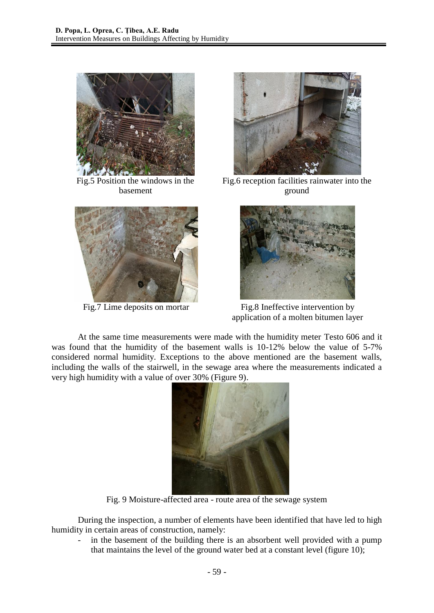

Fig.5 Position the windows in the basement





Fig.6 reception facilities rainwater into the ground



Fig.7 Lime deposits on mortar Fig.8 Ineffective intervention by application of a molten bitumen layer

At the same time measurements were made with the humidity meter Testo 606 and it was found that the humidity of the basement walls is 10-12% below the value of 5-7% considered normal humidity. Exceptions to the above mentioned are the basement walls, including the walls of the stairwell, in the sewage area where the measurements indicated a very high humidity with a value of over 30% (Figure 9).



Fig. 9 Moisture-affected area - route area of the sewage system

During the inspection, a number of elements have been identified that have led to high humidity in certain areas of construction, namely:

in the basement of the building there is an absorbent well provided with a pump that maintains the level of the ground water bed at a constant level (figure 10);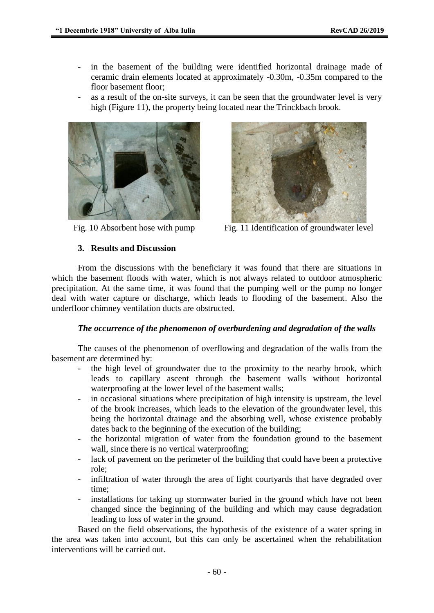- in the basement of the building were identified horizontal drainage made of ceramic drain elements located at approximately -0.30m, -0.35m compared to the floor basement floor;
- as a result of the on-site surveys, it can be seen that the groundwater level is very high (Figure 11), the property being located near the Trinckbach brook.





Fig. 10 Absorbent hose with pump Fig. 11 Identification of groundwater level

## **3. Results and Discussion**

From the discussions with the beneficiary it was found that there are situations in which the basement floods with water, which is not always related to outdoor atmospheric precipitation. At the same time, it was found that the pumping well or the pump no longer deal with water capture or discharge, which leads to flooding of the basement. Also the underfloor chimney ventilation ducts are obstructed.

## *The occurrence of the phenomenon of overburdening and degradation of the walls*

The causes of the phenomenon of overflowing and degradation of the walls from the basement are determined by:

- the high level of groundwater due to the proximity to the nearby brook, which leads to capillary ascent through the basement walls without horizontal waterproofing at the lower level of the basement walls;
- in occasional situations where precipitation of high intensity is upstream, the level of the brook increases, which leads to the elevation of the groundwater level, this being the horizontal drainage and the absorbing well, whose existence probably dates back to the beginning of the execution of the building;
- the horizontal migration of water from the foundation ground to the basement wall, since there is no vertical waterproofing;
- lack of pavement on the perimeter of the building that could have been a protective role;
- infiltration of water through the area of light courtyards that have degraded over time;
- installations for taking up stormwater buried in the ground which have not been changed since the beginning of the building and which may cause degradation leading to loss of water in the ground.

Based on the field observations, the hypothesis of the existence of a water spring in the area was taken into account, but this can only be ascertained when the rehabilitation interventions will be carried out.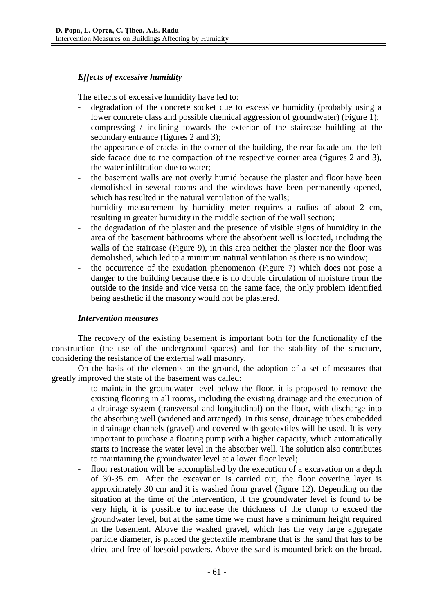## *Effects of excessive humidity*

The effects of excessive humidity have led to:

- degradation of the concrete socket due to excessive humidity (probably using a lower concrete class and possible chemical aggression of groundwater) (Figure 1);
- compressing / inclining towards the exterior of the staircase building at the secondary entrance (figures 2 and 3);
- the appearance of cracks in the corner of the building, the rear facade and the left side facade due to the compaction of the respective corner area (figures 2 and 3), the water infiltration due to water;
- the basement walls are not overly humid because the plaster and floor have been demolished in several rooms and the windows have been permanently opened, which has resulted in the natural ventilation of the walls;
- humidity measurement by humidity meter requires a radius of about 2 cm, resulting in greater humidity in the middle section of the wall section;
- the degradation of the plaster and the presence of visible signs of humidity in the area of the basement bathrooms where the absorbent well is located, including the walls of the staircase (Figure 9), in this area neither the plaster nor the floor was demolished, which led to a minimum natural ventilation as there is no window;
- the occurrence of the exudation phenomenon (Figure 7) which does not pose a danger to the building because there is no double circulation of moisture from the outside to the inside and vice versa on the same face, the only problem identified being aesthetic if the masonry would not be plastered.

#### *Intervention measures*

The recovery of the existing basement is important both for the functionality of the construction (the use of the underground spaces) and for the stability of the structure, considering the resistance of the external wall masonry.

On the basis of the elements on the ground, the adoption of a set of measures that greatly improved the state of the basement was called:

- to maintain the groundwater level below the floor, it is proposed to remove the existing flooring in all rooms, including the existing drainage and the execution of a drainage system (transversal and longitudinal) on the floor, with discharge into the absorbing well (widened and arranged). In this sense, drainage tubes embedded in drainage channels (gravel) and covered with geotextiles will be used. It is very important to purchase a floating pump with a higher capacity, which automatically starts to increase the water level in the absorber well. The solution also contributes to maintaining the groundwater level at a lower floor level;
- floor restoration will be accomplished by the execution of a excavation on a depth of 30-35 cm. After the excavation is carried out, the floor covering layer is approximately 30 cm and it is washed from gravel (figure 12). Depending on the situation at the time of the intervention, if the groundwater level is found to be very high, it is possible to increase the thickness of the clump to exceed the groundwater level, but at the same time we must have a minimum height required in the basement. Above the washed gravel, which has the very large aggregate particle diameter, is placed the geotextile membrane that is the sand that has to be dried and free of loesoid powders. Above the sand is mounted brick on the broad.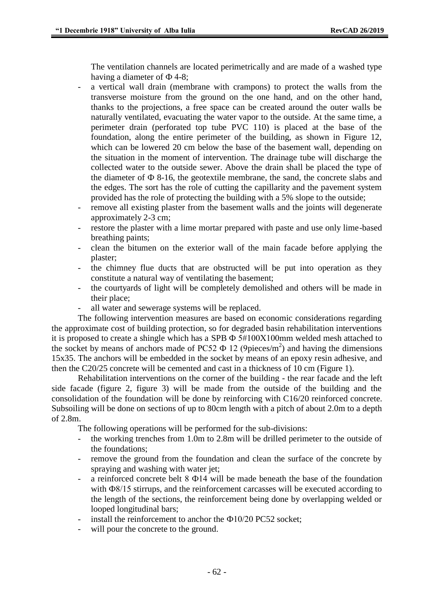The ventilation channels are located perimetrically and are made of a washed type having a diameter of  $\Phi$  4-8;

- a vertical wall drain (membrane with crampons) to protect the walls from the transverse moisture from the ground on the one hand, and on the other hand, thanks to the projections, a free space can be created around the outer walls be naturally ventilated, evacuating the water vapor to the outside. At the same time, a perimeter drain (perforated top tube PVC 110) is placed at the base of the foundation, along the entire perimeter of the building, as shown in Figure 12, which can be lowered 20 cm below the base of the basement wall, depending on the situation in the moment of intervention. The drainage tube will discharge the collected water to the outside sewer. Above the drain shall be placed the type of the diameter of  $\Phi$  8-16, the geotextile membrane, the sand, the concrete slabs and the edges. The sort has the role of cutting the capillarity and the pavement system provided has the role of protecting the building with a 5% slope to the outside;
- remove all existing plaster from the basement walls and the joints will degenerate approximately 2-3 cm;
- restore the plaster with a lime mortar prepared with paste and use only lime-based breathing paints;
- clean the bitumen on the exterior wall of the main facade before applying the plaster;
- the chimney flue ducts that are obstructed will be put into operation as they constitute a natural way of ventilating the basement;
- the courtyards of light will be completely demolished and others will be made in their place;
- all water and sewerage systems will be replaced.

The following intervention measures are based on economic considerations regarding the approximate cost of building protection, so for degraded basin rehabilitation interventions it is proposed to create a shingle which has a SPB  $\Phi$  5#100X100mm welded mesh attached to the socket by means of anchors made of PC52  $\Phi$  12 (9pieces/m<sup>2</sup>) and having the dimensions 15x35. The anchors will be embedded in the socket by means of an epoxy resin adhesive, and then the C20/25 concrete will be cemented and cast in a thickness of 10 cm (Figure 1).

Rehabilitation interventions on the corner of the building - the rear facade and the left side facade (figure 2, figure 3) will be made from the outside of the building and the consolidation of the foundation will be done by reinforcing with C16/20 reinforced concrete. Subsoiling will be done on sections of up to 80cm length with a pitch of about 2.0m to a depth of 2.8m.

The following operations will be performed for the sub-divisions:

- the working trenches from 1.0m to 2.8m will be drilled perimeter to the outside of the foundations;
- remove the ground from the foundation and clean the surface of the concrete by spraying and washing with water jet;
- a reinforced concrete belt 8 Ф14 will be made beneath the base of the foundation with Ф8/15 stirrups, and the reinforcement carcasses will be executed according to the length of the sections, the reinforcement being done by overlapping welded or looped longitudinal bars;
- install the reinforcement to anchor the  $\Phi$ 10/20 PC52 socket;
- will pour the concrete to the ground.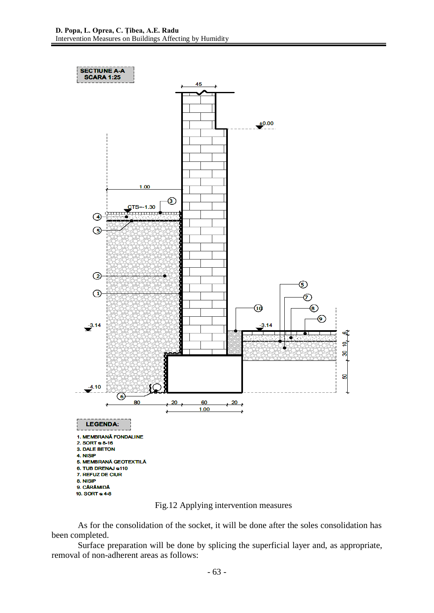

Fig.12 Applying intervention measures

As for the consolidation of the socket, it will be done after the soles consolidation has been completed.

Surface preparation will be done by splicing the superficial layer and, as appropriate, removal of non-adherent areas as follows: